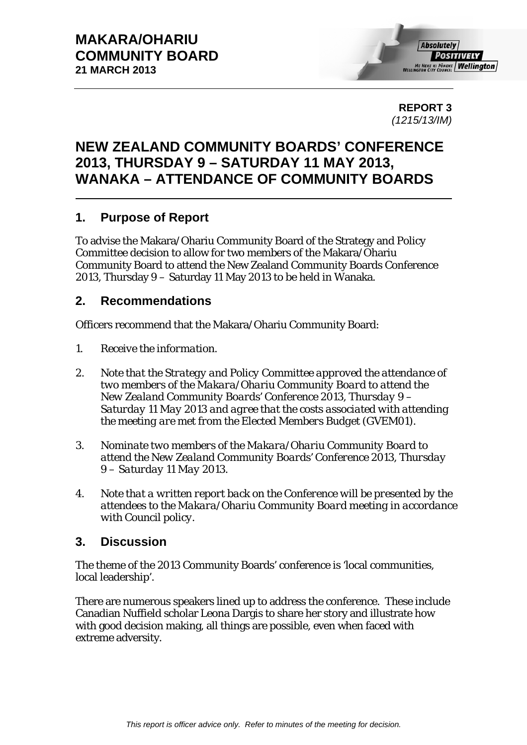**REPORT 3**  *(1215/13/IM)* 

#### **NEW ZEALAND COMMUNITY BOARDS' CONFERENCE 2013, THURSDAY 9 – SATURDAY 11 MAY 2013, WANAKA – ATTENDANCE OF COMMUNITY BOARDS**

#### **1. Purpose of Report**

To advise the Makara/Ohariu Community Board of the Strategy and Policy Committee decision to allow for two members of the Makara/Ohariu Community Board to attend the New Zealand Community Boards Conference 2013, Thursday 9 – Saturday 11 May 2013 to be held in Wanaka.

#### **2. Recommendations**

Officers recommend that the Makara/Ohariu Community Board:

- *1. Receive the information.*
- *2. Note that the Strategy and Policy Committee approved the attendance of two members of the Makara/Ohariu Community Board to attend the New Zealand Community Boards' Conference 2013, Thursday 9 – Saturday 11 May 2013 and agree that the costs associated with attending the meeting are met from the Elected Members Budget (GVEM01).*
- *3. Nominate two members of the Makara/Ohariu Community Board to attend the New Zealand Community Boards' Conference 2013, Thursday 9 – Saturday 11 May 2013.*
- *4. Note that a written report back on the Conference will be presented by the attendees to the Makara/Ohariu Community Board meeting in accordance with Council policy.*

#### **3. Discussion**

The theme of the 2013 Community Boards' conference is 'local communities, local leadership'.

There are numerous speakers lined up to address the conference. These include Canadian Nuffield scholar Leona Dargis to share her story and illustrate how with good decision making, all things are possible, even when faced with extreme adversity.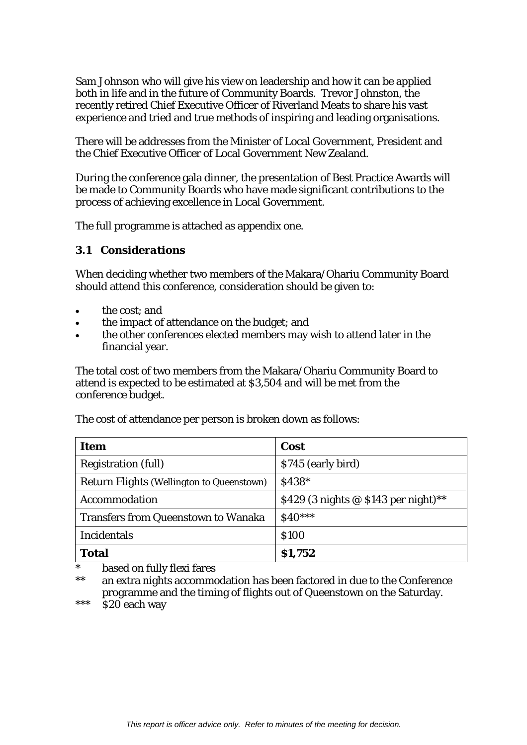Sam Johnson who will give his view on leadership and how it can be applied both in life and in the future of Community Boards. Trevor Johnston, the recently retired Chief Executive Officer of Riverland Meats to share his vast experience and tried and true methods of inspiring and leading organisations.

There will be addresses from the Minister of Local Government, President and the Chief Executive Officer of Local Government New Zealand.

During the conference gala dinner, the presentation of Best Practice Awards will be made to Community Boards who have made significant contributions to the process of achieving excellence in Local Government.

The full programme is attached as appendix one.

#### *3.1 Considerations*

When deciding whether two members of the Makara/Ohariu Community Board should attend this conference, consideration should be given to:

- the cost; and
- the impact of attendance on the budget; and
- the other conferences elected members may wish to attend later in the financial year.

The total cost of two members from the Makara/Ohariu Community Board to attend is expected to be estimated at \$3,504 and will be met from the conference budget.

The cost of attendance per person is broken down as follows:

| Item                                       | Cost                                   |
|--------------------------------------------|----------------------------------------|
| <b>Registration (full)</b>                 | \$745 (early bird)                     |
| Return Flights (Wellington to Queenstown)  | \$438*                                 |
| Accommodation                              | \$429 (3 nights $@$ \$143 per night)** |
| <b>Transfers from Queenstown to Wanaka</b> | $$40***$                               |
| <b>Incidentals</b>                         | <b>\$100</b>                           |
| <b>Total</b>                               | \$1,752                                |

based on fully flexi fares

\*\* an extra nights accommodation has been factored in due to the Conference programme and the timing of flights out of Queenstown on the Saturday.

\*\*\* \$20 each way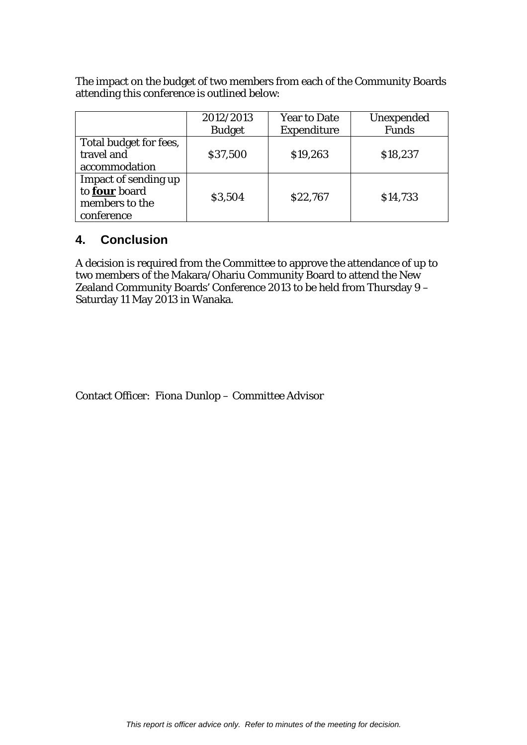The impact on the budget of two members from each of the Community Boards attending this conference is outlined below:

|                        | 2012/2013     | <b>Year to Date</b> | Unexpended |
|------------------------|---------------|---------------------|------------|
|                        | <b>Budget</b> | <b>Expenditure</b>  | Funds      |
| Total budget for fees, |               |                     |            |
| travel and             | \$37,500      | \$19,263            | \$18,237   |
| accommodation          |               |                     |            |
| Impact of sending up   |               |                     |            |
| to four board          |               | \$22,767            | \$14,733   |
| members to the         | \$3,504       |                     |            |
| conference             |               |                     |            |

#### **4. Conclusion**

A decision is required from the Committee to approve the attendance of up to two members of the Makara/Ohariu Community Board to attend the New Zealand Community Boards' Conference 2013 to be held from Thursday 9 – Saturday 11 May 2013 in Wanaka.

Contact Officer: *Fiona Dunlop – Committee Advisor*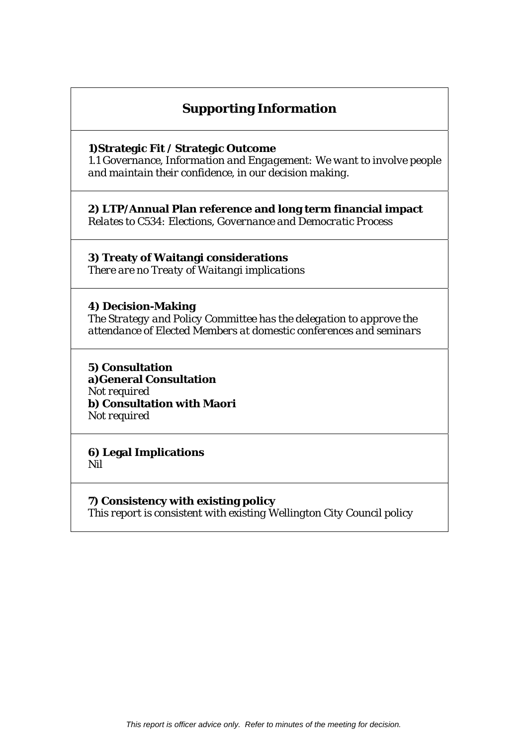#### **Supporting Information**

#### **1)Strategic Fit / Strategic Outcome**

*1.1 Governance, Information and Engagement: We want to involve people and maintain their confidence, in our decision making.* 

**2) LTP/Annual Plan reference and long term financial impact**  *Relates to C534: Elections, Governance and Democratic Process* 

**3) Treaty of Waitangi considerations**  *There are no Treaty of Waitangi implications* 

**4) Decision-Making**  *The Strategy and Policy Committee has the delegation to approve the attendance of Elected Members at domestic conferences and seminars* 

**5) Consultation a)General Consultation**  *Not required*  **b) Consultation with Maori**  *Not required* 

**6) Legal Implications**  *Nil* 

**7) Consistency with existing policy**  *This report is consistent with existing Wellington City Council policy*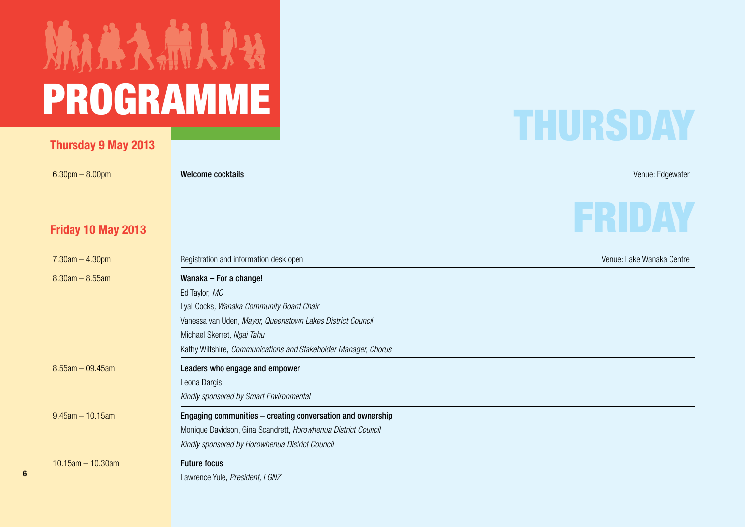# MARAMINA Programme PROGRAMME

#### **Thursday 9 May 2013**

6.30pm – 8.00pm – Venue: Edgewater **Welcome cocktails** Venue: Edgewater Venue: Edgewater Venue: Edgewater Venue: Edgewater

#### **Friday 10 May 2013**

### THURSDAY

FRIDAY

| $7.30$ am $-4.30$ pm    | Registration and information desk open                          | Venue: Lake Wanaka Centre |
|-------------------------|-----------------------------------------------------------------|---------------------------|
| $8.30$ am $- 8.55$ am   | Wanaka - For a change!                                          |                           |
|                         | Ed Taylor, MC                                                   |                           |
|                         | Lyal Cocks, Wanaka Community Board Chair                        |                           |
|                         | Vanessa van Uden, Mayor, Queenstown Lakes District Council      |                           |
|                         | Michael Skerret, Ngai Tahu                                      |                           |
|                         | Kathy Wiltshire, Communications and Stakeholder Manager, Chorus |                           |
| $8.55$ am - 09.45am     | Leaders who engage and empower                                  |                           |
|                         | Leona Dargis                                                    |                           |
|                         | Kindly sponsored by Smart Environmental                         |                           |
| $9.45$ am $-10.15$ am   | Engaging communities – creating conversation and ownership      |                           |
|                         | Monique Davidson, Gina Scandrett, Horowhenua District Council   |                           |
|                         | Kindly sponsored by Horowhenua District Council                 |                           |
| $10.15$ am $- 10.30$ am | <b>Future focus</b>                                             |                           |
|                         | Lawrence Yule, President, LGNZ                                  |                           |
|                         |                                                                 |                           |



**6**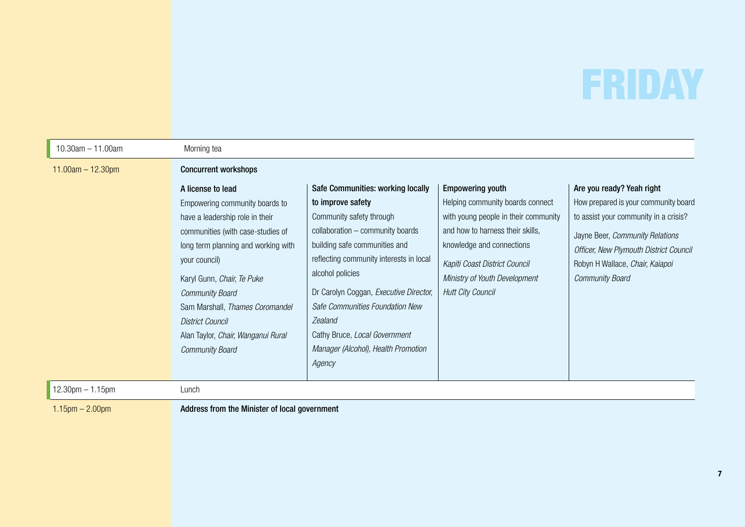# FRIDAY

| $10.30$ am $- 11.00$ am | Morning tea                                                                                                                                                                                                                                                                                                                              |                                                                                                                                                                                                                                                                                                                       |                                                                                                                                                                                                                                                                    |                                                                                                                                                                                                                                                      |
|-------------------------|------------------------------------------------------------------------------------------------------------------------------------------------------------------------------------------------------------------------------------------------------------------------------------------------------------------------------------------|-----------------------------------------------------------------------------------------------------------------------------------------------------------------------------------------------------------------------------------------------------------------------------------------------------------------------|--------------------------------------------------------------------------------------------------------------------------------------------------------------------------------------------------------------------------------------------------------------------|------------------------------------------------------------------------------------------------------------------------------------------------------------------------------------------------------------------------------------------------------|
| $11.00am - 12.30pm$     | <b>Concurrent workshops</b><br>A license to lead<br>Empowering community boards to<br>have a leadership role in their<br>communities (with case-studies of<br>long term planning and working with<br>your council)<br>Karyl Gunn, Chair, Te Puke<br><b>Community Board</b><br>Sam Marshall, Thames Coromandel<br><b>District Council</b> | Safe Communities: working locally<br>to improve safety<br>Community safety through<br>collaboration - community boards<br>building safe communities and<br>reflecting community interests in local<br>alcohol policies<br>Dr Carolyn Coggan, Executive Director,<br>Safe Communities Foundation New<br><b>Zealand</b> | <b>Empowering youth</b><br>Helping community boards connect<br>with young people in their community<br>and how to harness their skills,<br>knowledge and connections<br>Kapiti Coast District Council<br>Ministry of Youth Development<br><b>Hutt City Council</b> | Are you ready? Yeah right<br>How prepared is your community board<br>to assist your community in a crisis?<br>Jayne Beer, Community Relations<br>Officer, New Plymouth District Council<br>Robyn H Wallace, Chair, Kaiapoi<br><b>Community Board</b> |
| $12.30$ pm $- 1.15$ pm  | Alan Taylor, Chair, Wanganui Rural<br><b>Community Board</b><br>Lunch                                                                                                                                                                                                                                                                    | Cathy Bruce, Local Government<br>Manager (Alcohol), Health Promotion<br>Agency                                                                                                                                                                                                                                        |                                                                                                                                                                                                                                                                    |                                                                                                                                                                                                                                                      |
| $1.15$ pm $- 2.00$ pm   | Address from the Minister of local government                                                                                                                                                                                                                                                                                            |                                                                                                                                                                                                                                                                                                                       |                                                                                                                                                                                                                                                                    |                                                                                                                                                                                                                                                      |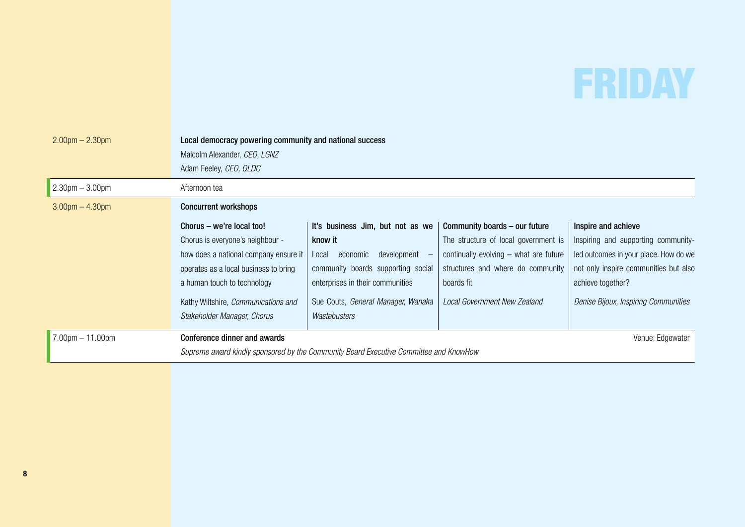### FRIDAY

| $2.00$ pm $- 2.30$ pm | Local democracy powering community and national success<br>Malcolm Alexander, CEO, LGNZ<br>Adam Feeley, CEO, QLDC |                                                                                       |                                        |                                       |
|-----------------------|-------------------------------------------------------------------------------------------------------------------|---------------------------------------------------------------------------------------|----------------------------------------|---------------------------------------|
| $2.30$ pm $-3.00$ pm  | Afternoon tea                                                                                                     |                                                                                       |                                        |                                       |
| $3.00$ pm $- 4.30$ pm | <b>Concurrent workshops</b>                                                                                       |                                                                                       |                                        |                                       |
|                       | Chorus – we're local too!                                                                                         | It's business Jim, but not as we                                                      | Community boards - our future          | Inspire and achieve                   |
|                       | Chorus is everyone's neighbour -                                                                                  | know it                                                                               | The structure of local government is   | Inspiring and supporting community-   |
|                       | how does a national company ensure it                                                                             | development<br>economic<br>Local                                                      | continually evolving - what are future | led outcomes in your place. How do we |
|                       | operates as a local business to bring                                                                             | community boards supporting social                                                    | structures and where do community      | not only inspire communities but also |
|                       | a human touch to technology                                                                                       | enterprises in their communities                                                      | boards fit                             | achieve together?                     |
|                       | Kathy Wiltshire, Communications and                                                                               | Sue Couts, General Manager, Wanaka                                                    | Local Government New Zealand           | Denise Bijoux, Inspiring Communities  |
|                       | Stakeholder Manager, Chorus                                                                                       | Wastebusters                                                                          |                                        |                                       |
| $7.00pm - 11.00pm$    | <b>Conference dinner and awards</b>                                                                               |                                                                                       |                                        | Venue: Edgewater                      |
|                       |                                                                                                                   | Supreme award kindly sponsored by the Community Board Executive Committee and KnowHow |                                        |                                       |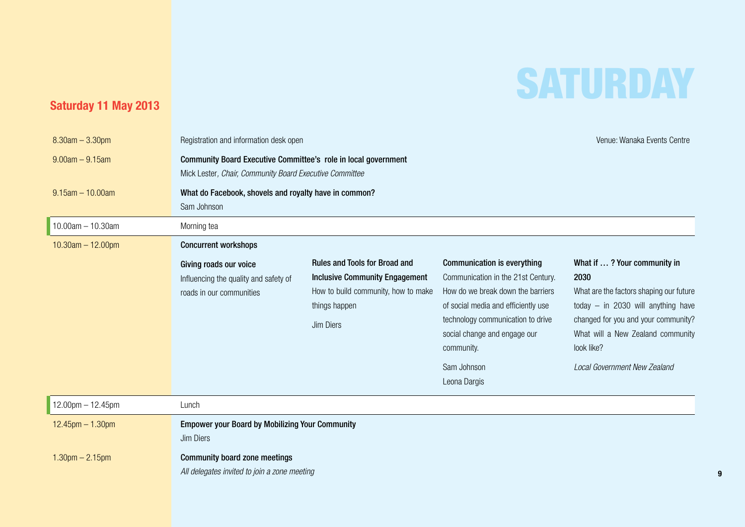### **SATURDAY**

#### **Saturday 11 May 2013**

| $8.30$ am $- 3.30$ pm   | Registration and information desk open                                                                                    |                                                                                                                                                    |                                                                                                                                                                                                                                                                        | Venue: Wanaka Events Centre                                                                                                                                                                                                                             |
|-------------------------|---------------------------------------------------------------------------------------------------------------------------|----------------------------------------------------------------------------------------------------------------------------------------------------|------------------------------------------------------------------------------------------------------------------------------------------------------------------------------------------------------------------------------------------------------------------------|---------------------------------------------------------------------------------------------------------------------------------------------------------------------------------------------------------------------------------------------------------|
| $9.00am - 9.15am$       | Community Board Executive Committee's role in local government<br>Mick Lester, Chair, Community Board Executive Committee |                                                                                                                                                    |                                                                                                                                                                                                                                                                        |                                                                                                                                                                                                                                                         |
| $9.15$ am $- 10.00$ am  | What do Facebook, shovels and royalty have in common?<br>Sam Johnson                                                      |                                                                                                                                                    |                                                                                                                                                                                                                                                                        |                                                                                                                                                                                                                                                         |
| $10.00am - 10.30am$     | Morning tea                                                                                                               |                                                                                                                                                    |                                                                                                                                                                                                                                                                        |                                                                                                                                                                                                                                                         |
| $10.30$ am $- 12.00$ pm | <b>Concurrent workshops</b>                                                                                               |                                                                                                                                                    |                                                                                                                                                                                                                                                                        |                                                                                                                                                                                                                                                         |
|                         | Giving roads our voice<br>Influencing the quality and safety of<br>roads in our communities                               | <b>Rules and Tools for Broad and</b><br><b>Inclusive Community Engagement</b><br>How to build community, how to make<br>things happen<br>Jim Diers | <b>Communication is everything</b><br>Communication in the 21st Century.<br>How do we break down the barriers<br>of social media and efficiently use<br>technology communication to drive<br>social change and engage our<br>community.<br>Sam Johnson<br>Leona Dargis | What if ? Your community in<br>2030<br>What are the factors shaping our future<br>today $-$ in 2030 will anything have<br>changed for you and your community?<br>What will a New Zealand community<br>look like?<br><b>Local Government New Zealand</b> |
|                         |                                                                                                                           |                                                                                                                                                    |                                                                                                                                                                                                                                                                        |                                                                                                                                                                                                                                                         |
| $12.00$ pm $- 12.45$ pm | Lunch                                                                                                                     |                                                                                                                                                    |                                                                                                                                                                                                                                                                        |                                                                                                                                                                                                                                                         |
| $12.45$ pm $- 1.30$ pm  | <b>Empower your Board by Mobilizing Your Community</b><br>Jim Diers                                                       |                                                                                                                                                    |                                                                                                                                                                                                                                                                        |                                                                                                                                                                                                                                                         |
| $1.30$ pm $- 2.15$ pm   | <b>Community board zone meetings</b><br>All delegates invited to join a zone meeting                                      |                                                                                                                                                    |                                                                                                                                                                                                                                                                        |                                                                                                                                                                                                                                                         |